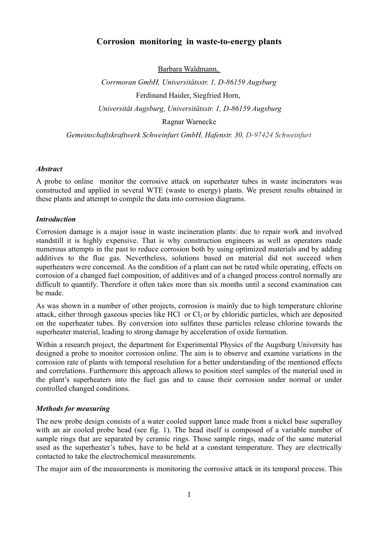# **Corrosion monitoring in waste-to-energy plants**

Barbara Waldmann,

*Corrmoran GmbH, Universitätsstr. 1, D-86159 Augsburg* Ferdinand Haider, Siegfried Horn,  *Universität Augsburg, Universitätsstr. 1, D-86159 Augsburg* Ragnar Warnecke *Gemeinschaftskraftwerk Schweinfurt GmbH, Hafenstr. 30, D-97424 Schweinfurt*

# *Abstract*

A probe to online monitor the corrosive attack on superheater tubes in waste incinerators was constructed and applied in several WTE (waste to energy) plants. We present results obtained in these plants and attempt to compile the data into corrosion diagrams.

# *Introduction*

Corrosion damage is a major issue in waste incineration plants: due to repair work and involved standstill it is highly expensive. That is why construction engineers as well as operators made numerous attempts in the past to reduce corrosion both by using optimized materials and by adding additives to the flue gas. Nevertheless, solutions based on material did not succeed when superheaters were concerned. As the condition of a plant can not be rated while operating, effects on corrosion of a changed fuel composition, of additives and of a changed process control normally are difficult to quantify. Therefore it often takes more than six months until a second examination can be made.

As was shown in a number of other projects, corrosion is mainly due to high temperature chlorine attack, either through gaseous species like HCl or  $Cl_2$  or by chloridic particles, which are deposited on the superheater tubes. By conversion into sulfates these particles release chlorine towards the superheater material, leading to strong damage by acceleration of oxide formation.

Within a research project, the department for Experimental Physics of the Augsburg University has designed a probe to monitor corrosion online. The aim is to observe and examine variations in the corrosion rate of plants with temporal resolution for a better understanding of the mentioned effects and correlations. Furthermore this approach allows to position steel samples of the material used in the plant's superheaters into the fuel gas and to cause their corrosion under normal or under controlled changed conditions.

# *Methods for measuring*

The new probe design consists of a water cooled support lance made from a nickel base superalloy with an air cooled probe head (see fig. 1). The head itself is composed of a variable number of sample rings that are separated by ceramic rings. Those sample rings, made of the same material used as the superheater's tubes, have to be held at a constant temperature. They are electrically contacted to take the electrochemical measurements.

The major aim of the measurements is monitoring the corrosive attack in its temporal process. This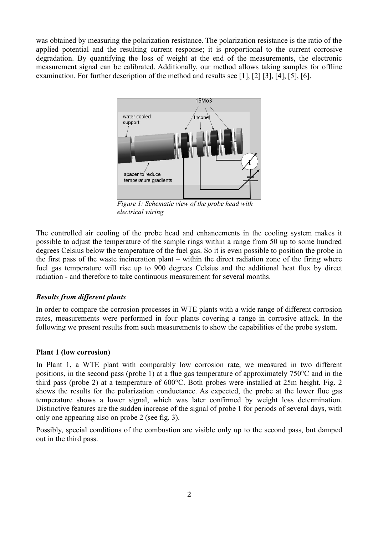was obtained by measuring the polarization resistance. The polarization resistance is the ratio of the applied potential and the resulting current response; it is proportional to the current corrosive degradation. By quantifying the loss of weight at the end of the measurements, the electronic measurement signal can be calibrated. Additionally, our method allows taking samples for offline examination. For further description of the method and results see [1], [2] [3], [4], [5], [6].



*Figure 1: Schematic view of the probe head with electrical wiring*

The controlled air cooling of the probe head and enhancements in the cooling system makes it possible to adjust the temperature of the sample rings within a range from 50 up to some hundred degrees Celsius below the temperature of the fuel gas. So it is even possible to position the probe in the first pass of the waste incineration plant – within the direct radiation zone of the firing where fuel gas temperature will rise up to 900 degrees Celsius and the additional heat flux by direct radiation - and therefore to take continuous measurement for several months.

# *Results from different plants*

In order to compare the corrosion processes in WTE plants with a wide range of different corrosion rates, measurements were performed in four plants covering a range in corrosive attack. In the following we present results from such measurements to show the capabilities of the probe system.

### **Plant 1 (low corrosion)**

In Plant 1, a WTE plant with comparably low corrosion rate, we measured in two different positions, in the second pass (probe 1) at a flue gas temperature of approximately 750°C and in the third pass (probe 2) at a temperature of 600°C. Both probes were installed at 25m height. Fig. 2 shows the results for the polarization conductance. As expected, the probe at the lower flue gas temperature shows a lower signal, which was later confirmed by weight loss determination. Distinctive features are the sudden increase of the signal of probe 1 for periods of several days, with only one appearing also on probe 2 (see fig. 3).

Possibly, special conditions of the combustion are visible only up to the second pass, but damped out in the third pass.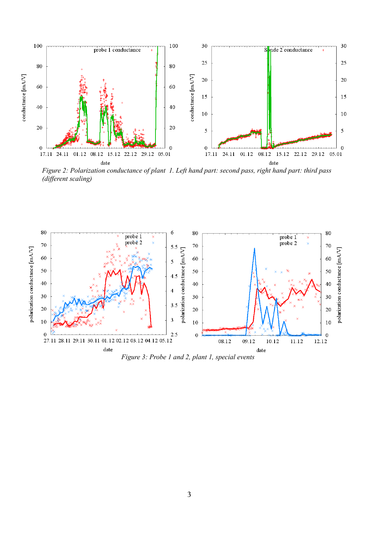

*Figure 2: Polarization conductance of plant 1. Left hand part: second pass, right hand part: third pass (different scaling)*



*Figure 3: Probe 1 and 2, plant 1, special events*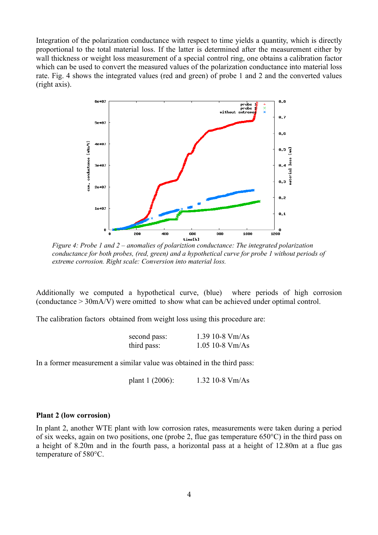Integration of the polarization conductance with respect to time yields a quantity, which is directly proportional to the total material loss. If the latter is determined after the measurement either by wall thickness or weight loss measurement of a special control ring, one obtains a calibration factor which can be used to convert the measured values of the polarization conductance into material loss rate. Fig. 4 shows the integrated values (red and green) of probe 1 and 2 and the converted values (right axis).



*Figure 4: Probe 1 and 2 – anomalies of polariztion conductance: The integrated polarization conductance for both probes, (red, green) and a hypothetical curve for probe 1 without periods of extreme corrosion. Right scale: Conversion into material loss.*

Additionally we computed a hypothetical curve, (blue) where periods of high corrosion (conductance > 30mA/V) were omitted to show what can be achieved under optimal control.

The calibration factors obtained from weight loss using this procedure are:

| second pass: | 1.39 10-8 $Vm/As$ |
|--------------|-------------------|
| third pass:  | $1.05$ 10-8 Vm/As |

In a former measurement a similar value was obtained in the third pass:

plant 1 (2006): 1.32 10-8 Vm/As

### **Plant 2 (low corrosion)**

In plant 2, another WTE plant with low corrosion rates, measurements were taken during a period of six weeks, again on two positions, one (probe 2, flue gas temperature 650°C) in the third pass on a height of 8.20m and in the fourth pass, a horizontal pass at a height of 12.80m at a flue gas temperature of 580°C.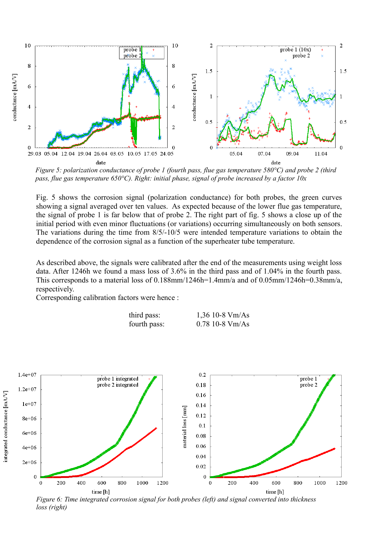

*Figure 5: polarization conductance of probe 1 (fourth pass, flue gas temperature 580°C) and probe 2 (third pass, flue gas temperature 650°C). Right: initial phase, signal of probe increased by a factor 10x* 

Fig. 5 shows the corrosion signal (polarization conductance) for both probes, the green curves showing a signal averaged over ten values. As expected because of the lower flue gas temperature, the signal of probe 1 is far below that of probe 2. The right part of fig. 5 shows a close up of the initial period with even minor fluctuations (or variations) occurring simultaneously on both sensors. The variations during the time from 8/5/-10/5 were intended temperature variations to obtain the dependence of the corrosion signal as a function of the superheater tube temperature.

As described above, the signals were calibrated after the end of the measurements using weight loss data. After 1246h we found a mass loss of 3.6% in the third pass and of 1.04% in the fourth pass. This corresponds to a material loss of 0.188mm/1246h=1.4mm/a and of 0.05mm/1246h=0.38mm/a, respectively.

Corresponding calibration factors were hence :

| third pass:  | $1,36$ 10-8 Vm/As |
|--------------|-------------------|
| fourth pass: | $0.78$ 10-8 Vm/As |



*loss (right)*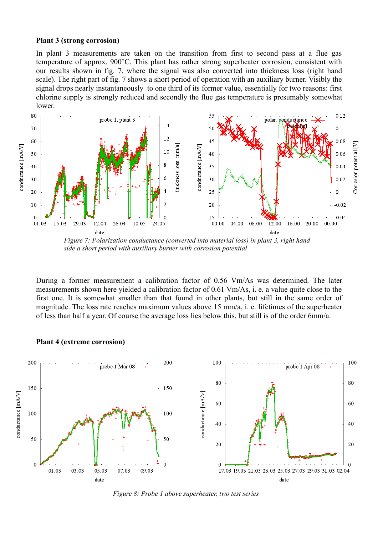#### **Plant 3 (strong corrosion)**

In plant 3 measurements are taken on the transition from first to second pass at a flue gas temperature of approx. 900°C. This plant has rather strong superheater corrosion, consistent with our results shown in fig. 7, where the signal was also converted into thickness loss (right hand scale). The right part of fig. 7 shows a short period of operation with an auxiliary burner. Visibly the signal drops nearly instantaneously to one third of its former value, essentially for two reasons: first chlorine supply is strongly reduced and secondly the flue gas temperature is presumably somewhat lower.



*side a short period with auxiliary burner with corrosion potential* 

During a former measurement a calibration factor of 0.56 Vm/As was determined. The later measurements shown here yielded a calibration factor of 0.61 Vm/As, i. e. a value quite close to the first one. It is somewhat smaller than that found in other plants, but still in the same order of magnitude. The loss rate reaches maximum values above 15 mm/a, i. e. lifetimes of the superheater of less than half a year. Of course the average loss lies below this, but still is of the order 6mm/a.



#### **Plant 4 (extreme corrosion)**

6 *Figure 8: Probe 1 above superheater, two test series*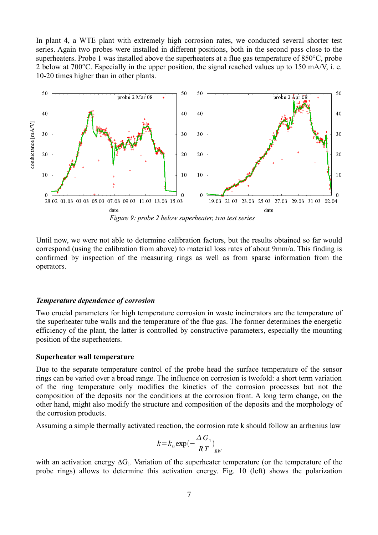In plant 4, a WTE plant with extremely high corrosion rates, we conducted several shorter test series. Again two probes were installed in different positions, both in the second pass close to the superheaters. Probe 1 was installed above the superheaters at a flue gas temperature of 850°C, probe 2 below at 700°C. Especially in the upper position, the signal reached values up to 150 mA/V, i. e. 10-20 times higher than in other plants.



*Figure 9: probe 2 below superheater, two test series*

Until now, we were not able to determine calibration factors, but the results obtained so far would correspond (using the calibration from above) to material loss rates of about 9mm/a. This finding is confirmed by inspection of the measuring rings as well as from sparse information from the operators.

### *Temperature dependence of corrosion*

Two crucial parameters for high temperature corrosion in waste incinerators are the temperature of the superheater tube walls and the temperature of the flue gas. The former determines the energetic efficiency of the plant, the latter is controlled by constructive parameters, especially the mounting position of the superheaters.

#### **Superheater wall temperature**

Due to the separate temperature control of the probe head the surface temperature of the sensor rings can be varied over a broad range. The influence on corrosion is twofold: a short term variation of the ring temperature only modifies the kinetics of the corrosion processes but not the composition of the deposits nor the conditions at the corrosion front. A long term change, on the other hand, might also modify the structure and composition of the deposits and the morphology of the corrosion products.

Assuming a simple thermally activated reaction, the corrosion rate k should follow an arrhenius law

$$
k = k_0 \exp\left(-\frac{\Delta G_1}{RT}\right)_{RW}
$$

with an activation energy  $\Delta G_1$ . Variation of the superheater temperature (or the temperature of the probe rings) allows to determine this activation energy. Fig. 10 (left) shows the polarization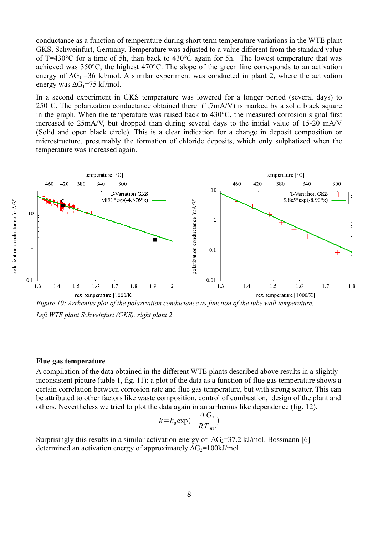conductance as a function of temperature during short term temperature variations in the WTE plant GKS, Schweinfurt, Germany. Temperature was adjusted to a value different from the standard value of T=430°C for a time of 5h, than back to 430°C again for 5h. The lowest temperature that was achieved was 350°C, the highest 470°C. The slope of the green line corresponds to an activation energy of  $\Delta G_1$  =36 kJ/mol. A similar experiment was conducted in plant 2, where the activation energy was  $\Delta G_1$ =75 kJ/mol.

In a second experiment in GKS temperature was lowered for a longer period (several days) to 250 $^{\circ}$ C. The polarization conductance obtained there (1,7mA/V) is marked by a solid black square in the graph. When the temperature was raised back to 430°C, the measured corrosion signal first increased to 25mA/V, but dropped than during several days to the initial value of 15-20 mA/V (Solid and open black circle). This is a clear indication for a change in deposit composition or microstructure, presumably the formation of chloride deposits, which only sulphatized when the temperature was increased again.



*Figure 10: Arrhenius plot of the polarization conductance as function of the tube wall temperature. Left WTE plant Schweinfurt (GKS), right plant 2*

### **Flue gas temperature**

A compilation of the data obtained in the different WTE plants described above results in a slightly inconsistent picture (table 1, fig. 11): a plot of the data as a function of flue gas temperature shows a certain correlation between corrosion rate and flue gas temperature, but with strong scatter. This can be attributed to other factors like waste composition, control of combustion, design of the plant and others. Nevertheless we tried to plot the data again in an arrhenius like dependence (fig. 12).

$$
k = k_0 \exp\left(-\frac{\Delta G_2}{RT_{RG}}\right)
$$

Surprisingly this results in a similar activation energy of  $\Delta G_2 = 37.2$  kJ/mol. Bossmann [6] determined an activation energy of approximately  $\Delta G_2$ =100kJ/mol.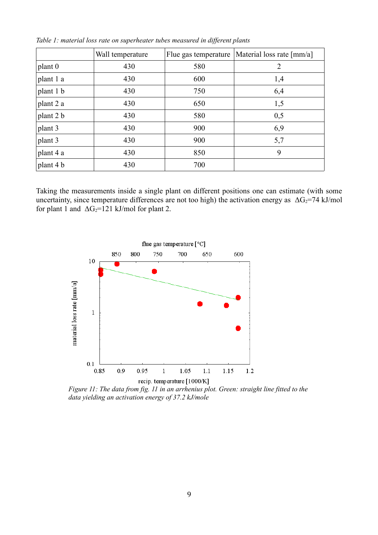|           | Wall temperature | Flue gas temperature | Material loss rate [mm/a] |
|-----------|------------------|----------------------|---------------------------|
| plant 0   | 430              | 580                  | $\overline{2}$            |
| plant 1 a | 430              | 600                  | 1,4                       |
| plant 1 b | 430              | 750                  | 6,4                       |
| plant 2 a | 430              | 650                  | 1,5                       |
| plant 2 b | 430              | 580                  | 0,5                       |
| plant 3   | 430              | 900                  | 6,9                       |
| plant 3   | 430              | 900                  | 5,7                       |
| plant 4 a | 430              | 850                  | 9                         |
| plant 4 b | 430              | 700                  |                           |

*Table 1: material loss rate on superheater tubes measured in different plants*

Taking the measurements inside a single plant on different positions one can estimate (with some uncertainty, since temperature differences are not too high) the activation energy as  $\Delta G_2$ =74 kJ/mol for plant 1 and  $\Delta G_2 = 121$  kJ/mol for plant 2.



*Figure 11: The data from fig. 11 in an arrhenius plot. Green: straight line fitted to the data yielding an activation energy of 37.2 kJ/mole*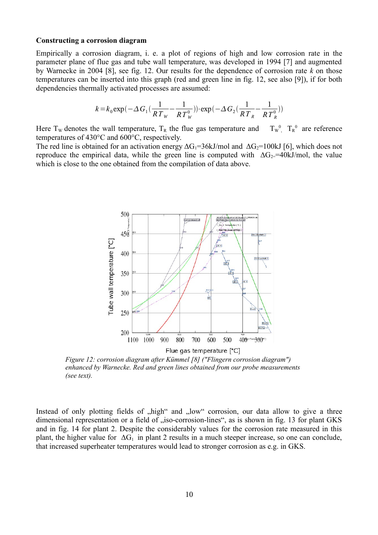#### **Constructing a corrosion diagram**

Empirically a corrosion diagram, i. e. a plot of regions of high and low corrosion rate in the parameter plane of flue gas and tube wall temperature, was developed in 1994 [7] and augmented by Warnecke in 2004 [8], see fig. 12. Our results for the dependence of corrosion rate *k* on those temperatures can be inserted into this graph (red and green line in fig. 12, see also [9]), if for both dependencies thermally activated processes are assumed:

$$
k = k_0 \exp(-\Delta G_1(\frac{1}{RT_w} - \frac{1}{RT_w^0})) \cdot \exp(-\Delta G_2(\frac{1}{RT_w} - \frac{1}{RT_w^0}))
$$

Here T<sub>w</sub> denotes the wall temperature, T<sub>R</sub> the flue gas temperature and  $T_w^0$ , T<sub>R</sub><sup>0</sup> are reference temperatures of 430°C and 600°C, respectively.

The red line is obtained for an activation energy  $\Delta G_1 = 36kJ/mol$  and  $\Delta G_2 = 100kJ$  [6], which does not reproduce the empirical data, while the green line is computed with  $\Delta G_{2}$ =40kJ/mol, the value which is close to the one obtained from the compilation of data above.



*Figure 12: corrosion diagram after Kümmel [8] ("Flingern corrosion diagram") enhanced by Warnecke. Red and green lines obtained from our probe measurements (see text).*

Instead of only plotting fields of "high" and "low" corrosion, our data allow to give a three dimensional representation or a field of "iso-corrosion-lines", as is shown in fig. 13 for plant GKS and in fig. 14 for plant 2. Despite the considerably values for the corrosion rate measured in this plant, the higher value for  $\Delta G_1$  in plant 2 results in a much steeper increase, so one can conclude, that increased superheater temperatures would lead to stronger corrosion as e.g. in GKS.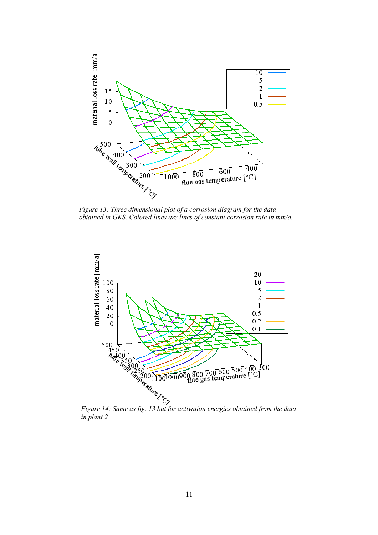

*obtained in GKS. Colored lines are lines of constant corrosion rate in mm/a.*



*in plant 2*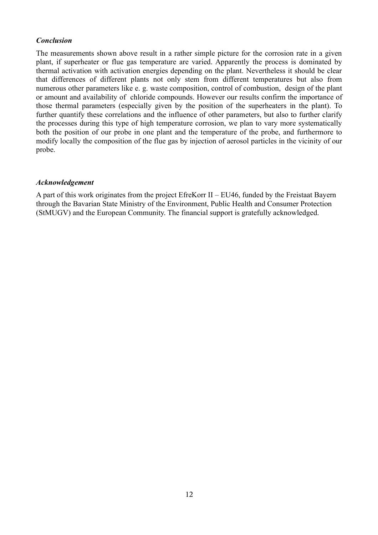# *Conclusion*

The measurements shown above result in a rather simple picture for the corrosion rate in a given plant, if superheater or flue gas temperature are varied. Apparently the process is dominated by thermal activation with activation energies depending on the plant. Nevertheless it should be clear that differences of different plants not only stem from different temperatures but also from numerous other parameters like e. g. waste composition, control of combustion, design of the plant or amount and availability of chloride compounds. However our results confirm the importance of those thermal parameters (especially given by the position of the superheaters in the plant). To further quantify these correlations and the influence of other parameters, but also to further clarify the processes during this type of high temperature corrosion, we plan to vary more systematically both the position of our probe in one plant and the temperature of the probe, and furthermore to modify locally the composition of the flue gas by injection of aerosol particles in the vicinity of our probe.

# *Acknowledgement*

A part of this work originates from the project EfreKorr II – EU46, funded by the Freistaat Bayern through the Bavarian State Ministry of the Environment, Public Health and Consumer Protection (StMUGV) and the European Community. The financial support is gratefully acknowledged.